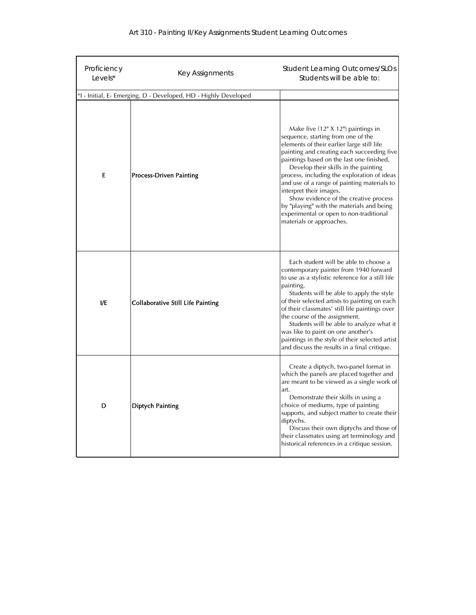| Proficiency<br>Levels*                                          | Key Assignments                          | <b>Student Learning Outcomes/SLOs</b><br>Students will be able to:                                                                                                                                                                                                                                                                                                                                                                                                                                                                              |  |
|-----------------------------------------------------------------|------------------------------------------|-------------------------------------------------------------------------------------------------------------------------------------------------------------------------------------------------------------------------------------------------------------------------------------------------------------------------------------------------------------------------------------------------------------------------------------------------------------------------------------------------------------------------------------------------|--|
| *I - Initial, E- Emerging, D - Developed, HD - Highly Developed |                                          |                                                                                                                                                                                                                                                                                                                                                                                                                                                                                                                                                 |  |
| E                                                               | <b>Process-Driven Painting</b>           | Make five (12" X 12") paintings in<br>sequence, starting from one of the<br>elements of their earlier large still life<br>painting and creating each succeeding five<br>paintings based on the last one finished.<br>Develop their skills in the painting<br>process, including the exploration of ideas<br>and use of a range of painting materials to<br>interpret their images.<br>Show evidence of the creative process<br>by "playing" with the materials and being<br>experimental or open to non-traditional<br>materials or approaches. |  |
| I/E                                                             | <b>Collaborative Still Life Painting</b> | Each student will be able to choose a<br>contemporary painter from 1940 forward<br>to use as a stylistic reference for a still life<br>painting.<br>Students will be able to apply the style<br>of their selected artists to painting on each<br>of their classmates' still life paintings over<br>the course of the assignment.<br>Students will be able to analyze what it<br>was like to paint on one another's<br>paintings in the style of their selected artist<br>and discuss the results in a final critique.                           |  |
| D                                                               | <b>Diptych Painting</b>                  | Create a diptych, two-panel format in<br>which the panels are placed together and<br>are meant to be viewed as a single work of<br>art.<br>Demonstrate their skills in using a<br>choice of mediums, type of painting<br>supports, and subject matter to create their<br>diptychs.<br>Discuss their own diptychs and those of<br>their classmates using art terminology and<br>historical references in a critique session.                                                                                                                     |  |